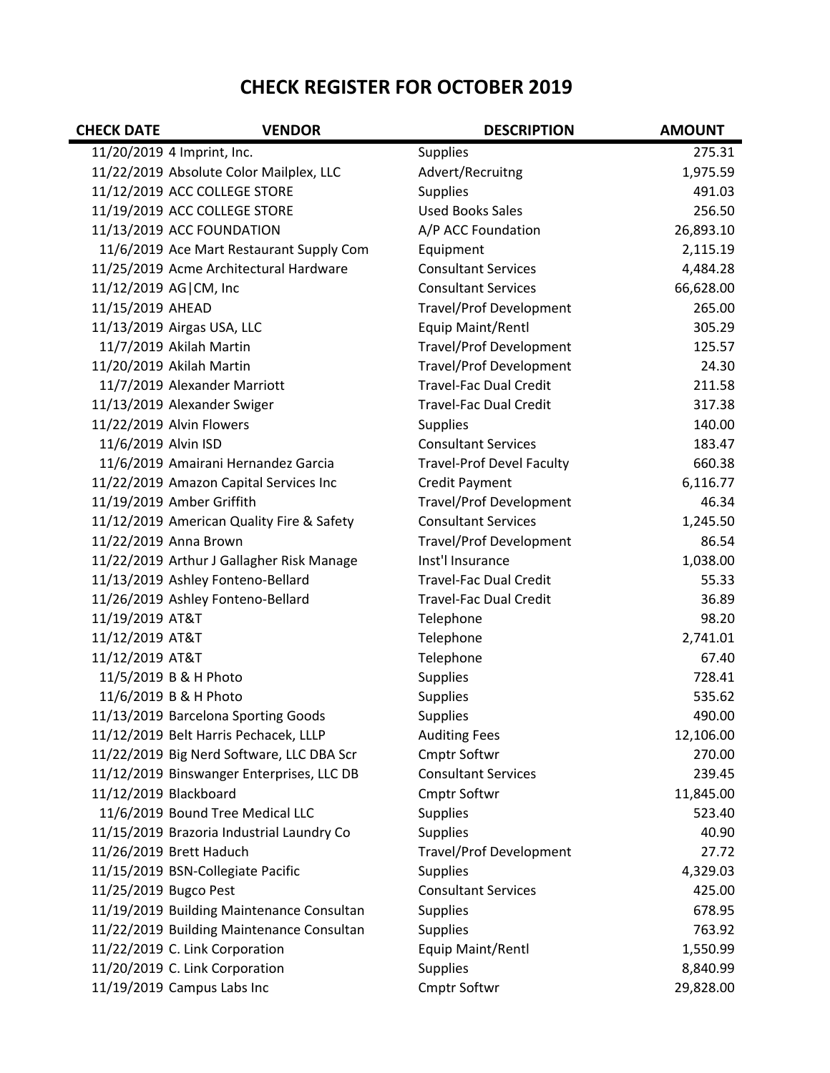## **CHECK REGISTER FOR OCTOBER 2019**

| <b>CHECK DATE</b>     | <b>VENDOR</b>                             | <b>DESCRIPTION</b>               | <b>AMOUNT</b> |
|-----------------------|-------------------------------------------|----------------------------------|---------------|
|                       | 11/20/2019 4 Imprint, Inc.                | <b>Supplies</b>                  | 275.31        |
|                       | 11/22/2019 Absolute Color Mailplex, LLC   | Advert/Recruitng                 | 1,975.59      |
|                       | 11/12/2019 ACC COLLEGE STORE              | <b>Supplies</b>                  | 491.03        |
|                       | 11/19/2019 ACC COLLEGE STORE              | <b>Used Books Sales</b>          | 256.50        |
|                       | 11/13/2019 ACC FOUNDATION                 | A/P ACC Foundation               | 26,893.10     |
|                       | 11/6/2019 Ace Mart Restaurant Supply Com  | Equipment                        | 2,115.19      |
|                       | 11/25/2019 Acme Architectural Hardware    | <b>Consultant Services</b>       | 4,484.28      |
| 11/12/2019 AG CM, Inc |                                           | <b>Consultant Services</b>       | 66,628.00     |
| 11/15/2019 AHEAD      |                                           | <b>Travel/Prof Development</b>   | 265.00        |
|                       | 11/13/2019 Airgas USA, LLC                | Equip Maint/Rentl                | 305.29        |
|                       | 11/7/2019 Akilah Martin                   | <b>Travel/Prof Development</b>   | 125.57        |
|                       | 11/20/2019 Akilah Martin                  | <b>Travel/Prof Development</b>   | 24.30         |
|                       | 11/7/2019 Alexander Marriott              | <b>Travel-Fac Dual Credit</b>    | 211.58        |
|                       | 11/13/2019 Alexander Swiger               | <b>Travel-Fac Dual Credit</b>    | 317.38        |
|                       | 11/22/2019 Alvin Flowers                  | <b>Supplies</b>                  | 140.00        |
| 11/6/2019 Alvin ISD   |                                           | <b>Consultant Services</b>       | 183.47        |
|                       | 11/6/2019 Amairani Hernandez Garcia       | <b>Travel-Prof Devel Faculty</b> | 660.38        |
|                       | 11/22/2019 Amazon Capital Services Inc    | Credit Payment                   | 6,116.77      |
|                       | 11/19/2019 Amber Griffith                 | <b>Travel/Prof Development</b>   | 46.34         |
|                       | 11/12/2019 American Quality Fire & Safety | <b>Consultant Services</b>       | 1,245.50      |
|                       | 11/22/2019 Anna Brown                     | <b>Travel/Prof Development</b>   | 86.54         |
|                       | 11/22/2019 Arthur J Gallagher Risk Manage | Inst'l Insurance                 | 1,038.00      |
|                       | 11/13/2019 Ashley Fonteno-Bellard         | <b>Travel-Fac Dual Credit</b>    | 55.33         |
|                       | 11/26/2019 Ashley Fonteno-Bellard         | <b>Travel-Fac Dual Credit</b>    | 36.89         |
| 11/19/2019 AT&T       |                                           | Telephone                        | 98.20         |
| 11/12/2019 AT&T       |                                           | Telephone                        | 2,741.01      |
| 11/12/2019 AT&T       |                                           | Telephone                        | 67.40         |
|                       | 11/5/2019 B & H Photo                     | <b>Supplies</b>                  | 728.41        |
|                       | 11/6/2019 B & H Photo                     | Supplies                         | 535.62        |
|                       | 11/13/2019 Barcelona Sporting Goods       | <b>Supplies</b>                  | 490.00        |
|                       | 11/12/2019 Belt Harris Pechacek, LLLP     | <b>Auditing Fees</b>             | 12,106.00     |
|                       | 11/22/2019 Big Nerd Software, LLC DBA Scr | Cmptr Softwr                     | 270.00        |
|                       | 11/12/2019 Binswanger Enterprises, LLC DB | <b>Consultant Services</b>       | 239.45        |
| 11/12/2019 Blackboard |                                           | Cmptr Softwr                     | 11,845.00     |
|                       | 11/6/2019 Bound Tree Medical LLC          | <b>Supplies</b>                  | 523.40        |
|                       | 11/15/2019 Brazoria Industrial Laundry Co | <b>Supplies</b>                  | 40.90         |
|                       | 11/26/2019 Brett Haduch                   | Travel/Prof Development          | 27.72         |
|                       | 11/15/2019 BSN-Collegiate Pacific         | <b>Supplies</b>                  | 4,329.03      |
| 11/25/2019 Bugco Pest |                                           | <b>Consultant Services</b>       | 425.00        |
|                       | 11/19/2019 Building Maintenance Consultan | <b>Supplies</b>                  | 678.95        |
|                       | 11/22/2019 Building Maintenance Consultan | <b>Supplies</b>                  | 763.92        |
|                       | 11/22/2019 C. Link Corporation            | Equip Maint/Rentl                | 1,550.99      |
|                       | 11/20/2019 C. Link Corporation            | <b>Supplies</b>                  | 8,840.99      |
|                       | 11/19/2019 Campus Labs Inc                | Cmptr Softwr                     | 29,828.00     |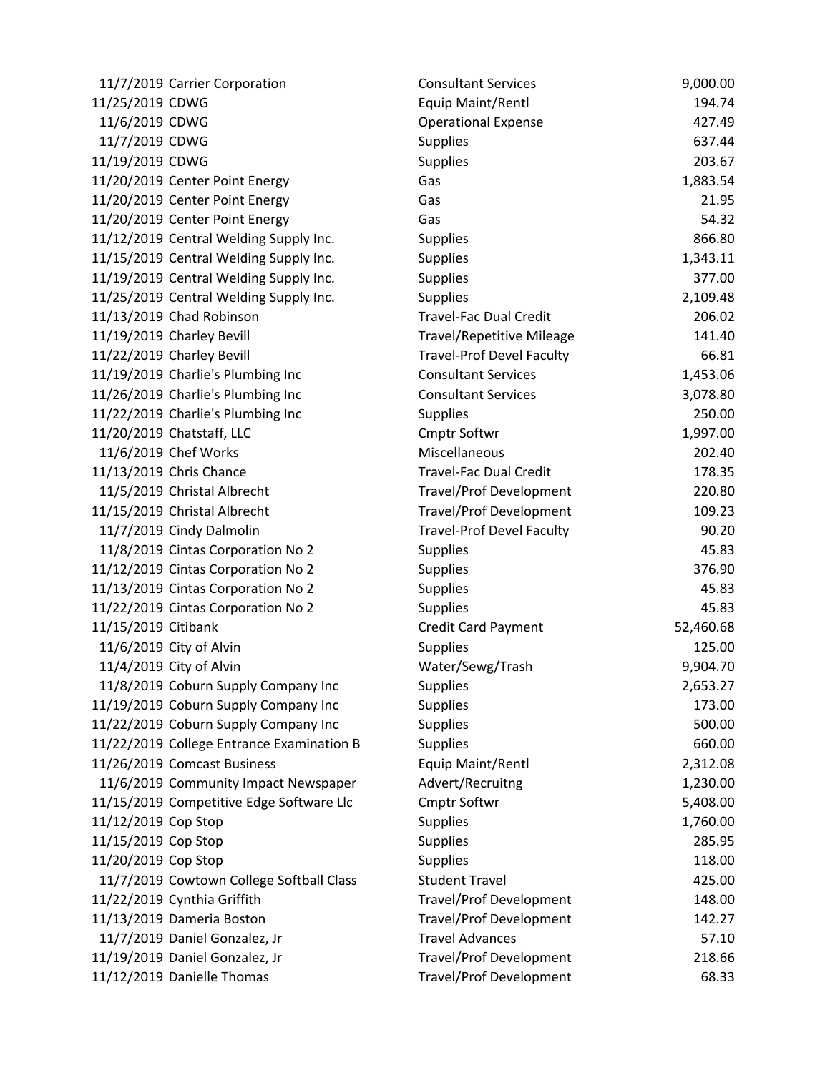| 11/7/2019 Carrier Corporation             | <b>Consultant Services</b>       | 9,000.00  |
|-------------------------------------------|----------------------------------|-----------|
| 11/25/2019 CDWG                           | Equip Maint/Rentl                | 194.74    |
| 11/6/2019 CDWG                            | <b>Operational Expense</b>       | 427.49    |
| 11/7/2019 CDWG                            | <b>Supplies</b>                  | 637.44    |
| 11/19/2019 CDWG                           | <b>Supplies</b>                  | 203.67    |
| 11/20/2019 Center Point Energy            | Gas                              | 1,883.54  |
| 11/20/2019 Center Point Energy            | Gas                              | 21.95     |
| 11/20/2019 Center Point Energy            | Gas                              | 54.32     |
| 11/12/2019 Central Welding Supply Inc.    | <b>Supplies</b>                  | 866.80    |
| 11/15/2019 Central Welding Supply Inc.    | <b>Supplies</b>                  | 1,343.11  |
| 11/19/2019 Central Welding Supply Inc.    | <b>Supplies</b>                  | 377.00    |
| 11/25/2019 Central Welding Supply Inc.    | <b>Supplies</b>                  | 2,109.48  |
| 11/13/2019 Chad Robinson                  | <b>Travel-Fac Dual Credit</b>    | 206.02    |
| 11/19/2019 Charley Bevill                 | <b>Travel/Repetitive Mileage</b> | 141.40    |
| 11/22/2019 Charley Bevill                 | <b>Travel-Prof Devel Faculty</b> | 66.81     |
| 11/19/2019 Charlie's Plumbing Inc         | <b>Consultant Services</b>       | 1,453.06  |
| 11/26/2019 Charlie's Plumbing Inc         | <b>Consultant Services</b>       | 3,078.80  |
| 11/22/2019 Charlie's Plumbing Inc         | <b>Supplies</b>                  | 250.00    |
| 11/20/2019 Chatstaff, LLC                 | Cmptr Softwr                     | 1,997.00  |
| 11/6/2019 Chef Works                      | Miscellaneous                    | 202.40    |
| 11/13/2019 Chris Chance                   | <b>Travel-Fac Dual Credit</b>    | 178.35    |
| 11/5/2019 Christal Albrecht               | <b>Travel/Prof Development</b>   | 220.80    |
| 11/15/2019 Christal Albrecht              | <b>Travel/Prof Development</b>   | 109.23    |
| 11/7/2019 Cindy Dalmolin                  | <b>Travel-Prof Devel Faculty</b> | 90.20     |
| 11/8/2019 Cintas Corporation No 2         | <b>Supplies</b>                  | 45.83     |
| 11/12/2019 Cintas Corporation No 2        | <b>Supplies</b>                  | 376.90    |
| 11/13/2019 Cintas Corporation No 2        | <b>Supplies</b>                  | 45.83     |
| 11/22/2019 Cintas Corporation No 2        | <b>Supplies</b>                  | 45.83     |
| 11/15/2019 Citibank                       | <b>Credit Card Payment</b>       | 52,460.68 |
| 11/6/2019 City of Alvin                   | Supplies                         | 125.00    |
| 11/4/2019 City of Alvin                   | Water/Sewg/Trash                 | 9,904.70  |
| 11/8/2019 Coburn Supply Company Inc       | Supplies                         | 2,653.27  |
| 11/19/2019 Coburn Supply Company Inc      | <b>Supplies</b>                  | 173.00    |
| 11/22/2019 Coburn Supply Company Inc      | <b>Supplies</b>                  | 500.00    |
| 11/22/2019 College Entrance Examination B | Supplies                         | 660.00    |
| 11/26/2019 Comcast Business               | Equip Maint/Rentl                | 2,312.08  |
| 11/6/2019 Community Impact Newspaper      | Advert/Recruitng                 | 1,230.00  |
| 11/15/2019 Competitive Edge Software Llc  | <b>Cmptr Softwr</b>              | 5,408.00  |
| 11/12/2019 Cop Stop                       | <b>Supplies</b>                  | 1,760.00  |
| 11/15/2019 Cop Stop                       | <b>Supplies</b>                  | 285.95    |
| 11/20/2019 Cop Stop                       | <b>Supplies</b>                  | 118.00    |
| 11/7/2019 Cowtown College Softball Class  | <b>Student Travel</b>            | 425.00    |
| 11/22/2019 Cynthia Griffith               | <b>Travel/Prof Development</b>   | 148.00    |
| 11/13/2019 Dameria Boston                 | <b>Travel/Prof Development</b>   | 142.27    |
| 11/7/2019 Daniel Gonzalez, Jr             | <b>Travel Advances</b>           | 57.10     |
| 11/19/2019 Daniel Gonzalez, Jr            | <b>Travel/Prof Development</b>   | 218.66    |
| 11/12/2019 Danielle Thomas                | <b>Travel/Prof Development</b>   | 68.33     |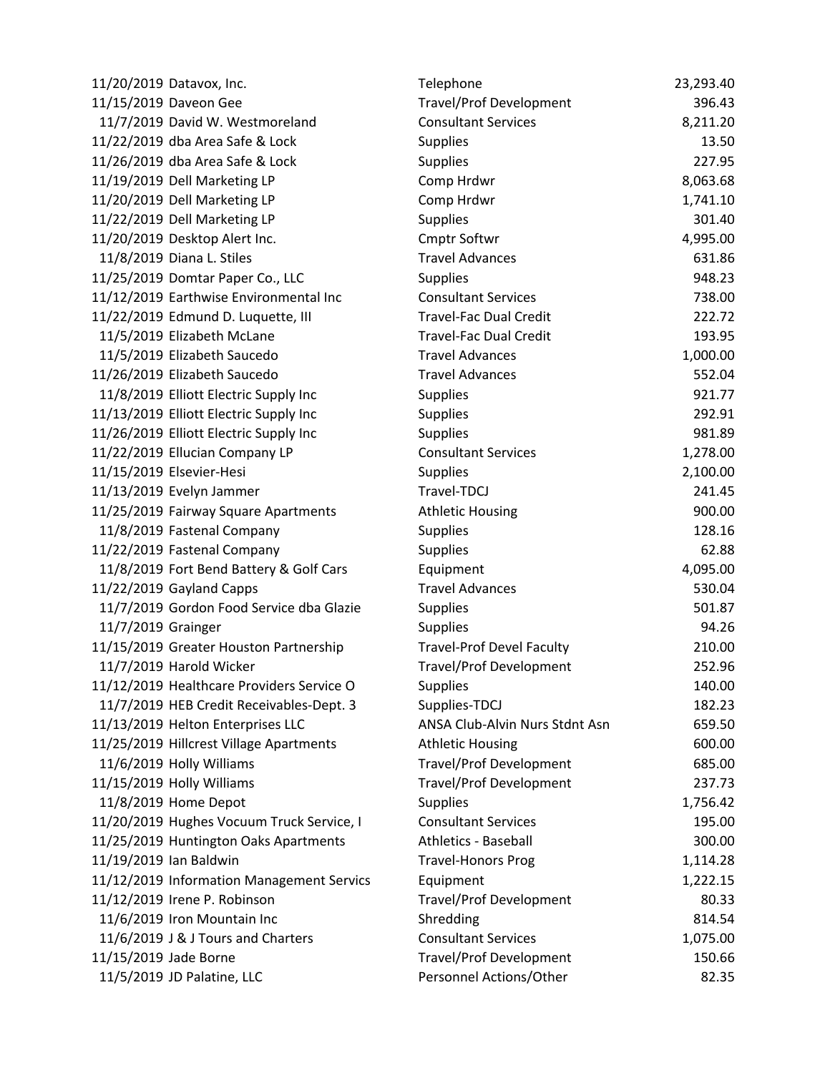|                        | 11/20/2019 Datavox, Inc.                  | Telephone                        | 23,293.40 |
|------------------------|-------------------------------------------|----------------------------------|-----------|
|                        | 11/15/2019 Daveon Gee                     | <b>Travel/Prof Development</b>   | 396.43    |
|                        | 11/7/2019 David W. Westmoreland           | <b>Consultant Services</b>       | 8,211.20  |
|                        | 11/22/2019 dba Area Safe & Lock           | <b>Supplies</b>                  | 13.50     |
|                        | 11/26/2019 dba Area Safe & Lock           | <b>Supplies</b>                  | 227.95    |
|                        | 11/19/2019 Dell Marketing LP              | Comp Hrdwr                       | 8,063.68  |
|                        | 11/20/2019 Dell Marketing LP              | Comp Hrdwr                       | 1,741.10  |
|                        | 11/22/2019 Dell Marketing LP              | <b>Supplies</b>                  | 301.40    |
|                        | 11/20/2019 Desktop Alert Inc.             | Cmptr Softwr                     | 4,995.00  |
|                        | 11/8/2019 Diana L. Stiles                 | <b>Travel Advances</b>           | 631.86    |
|                        | 11/25/2019 Domtar Paper Co., LLC          | <b>Supplies</b>                  | 948.23    |
|                        | 11/12/2019 Earthwise Environmental Inc    | <b>Consultant Services</b>       | 738.00    |
|                        | 11/22/2019 Edmund D. Luquette, III        | <b>Travel-Fac Dual Credit</b>    | 222.72    |
|                        | 11/5/2019 Elizabeth McLane                | <b>Travel-Fac Dual Credit</b>    | 193.95    |
|                        | 11/5/2019 Elizabeth Saucedo               | <b>Travel Advances</b>           | 1,000.00  |
|                        | 11/26/2019 Elizabeth Saucedo              | <b>Travel Advances</b>           | 552.04    |
|                        | 11/8/2019 Elliott Electric Supply Inc     | <b>Supplies</b>                  | 921.77    |
|                        | 11/13/2019 Elliott Electric Supply Inc    | <b>Supplies</b>                  | 292.91    |
|                        | 11/26/2019 Elliott Electric Supply Inc    | <b>Supplies</b>                  | 981.89    |
|                        | 11/22/2019 Ellucian Company LP            | <b>Consultant Services</b>       | 1,278.00  |
|                        | 11/15/2019 Elsevier-Hesi                  | <b>Supplies</b>                  | 2,100.00  |
|                        | 11/13/2019 Evelyn Jammer                  | Travel-TDCJ                      | 241.45    |
|                        | 11/25/2019 Fairway Square Apartments      | <b>Athletic Housing</b>          | 900.00    |
|                        | 11/8/2019 Fastenal Company                | <b>Supplies</b>                  | 128.16    |
|                        | 11/22/2019 Fastenal Company               | <b>Supplies</b>                  | 62.88     |
|                        | 11/8/2019 Fort Bend Battery & Golf Cars   | Equipment                        | 4,095.00  |
|                        | 11/22/2019 Gayland Capps                  | <b>Travel Advances</b>           | 530.04    |
|                        | 11/7/2019 Gordon Food Service dba Glazie  | <b>Supplies</b>                  | 501.87    |
| 11/7/2019 Grainger     |                                           | <b>Supplies</b>                  | 94.26     |
|                        | 11/15/2019 Greater Houston Partnership    | <b>Travel-Prof Devel Faculty</b> | 210.00    |
|                        | 11/7/2019 Harold Wicker                   | <b>Travel/Prof Development</b>   | 252.96    |
|                        | 11/12/2019 Healthcare Providers Service O | <b>Supplies</b>                  | 140.00    |
|                        | 11/7/2019 HEB Credit Receivables-Dept. 3  | Supplies-TDCJ                    | 182.23    |
|                        | 11/13/2019 Helton Enterprises LLC         | ANSA Club-Alvin Nurs Stdnt Asn   | 659.50    |
|                        | 11/25/2019 Hillcrest Village Apartments   | <b>Athletic Housing</b>          | 600.00    |
|                        | 11/6/2019 Holly Williams                  | <b>Travel/Prof Development</b>   | 685.00    |
|                        | 11/15/2019 Holly Williams                 | <b>Travel/Prof Development</b>   | 237.73    |
|                        | 11/8/2019 Home Depot                      | <b>Supplies</b>                  | 1,756.42  |
|                        | 11/20/2019 Hughes Vocuum Truck Service, I | <b>Consultant Services</b>       | 195.00    |
|                        | 11/25/2019 Huntington Oaks Apartments     | Athletics - Baseball             | 300.00    |
| 11/19/2019 Ian Baldwin |                                           | <b>Travel-Honors Prog</b>        | 1,114.28  |
|                        | 11/12/2019 Information Management Servics | Equipment                        | 1,222.15  |
|                        | 11/12/2019 Irene P. Robinson              | <b>Travel/Prof Development</b>   | 80.33     |
|                        | 11/6/2019 Iron Mountain Inc               | Shredding                        | 814.54    |
|                        | 11/6/2019 J & J Tours and Charters        | <b>Consultant Services</b>       | 1,075.00  |
| 11/15/2019 Jade Borne  |                                           | <b>Travel/Prof Development</b>   | 150.66    |
|                        | 11/5/2019 JD Palatine, LLC                | Personnel Actions/Other          | 82.35     |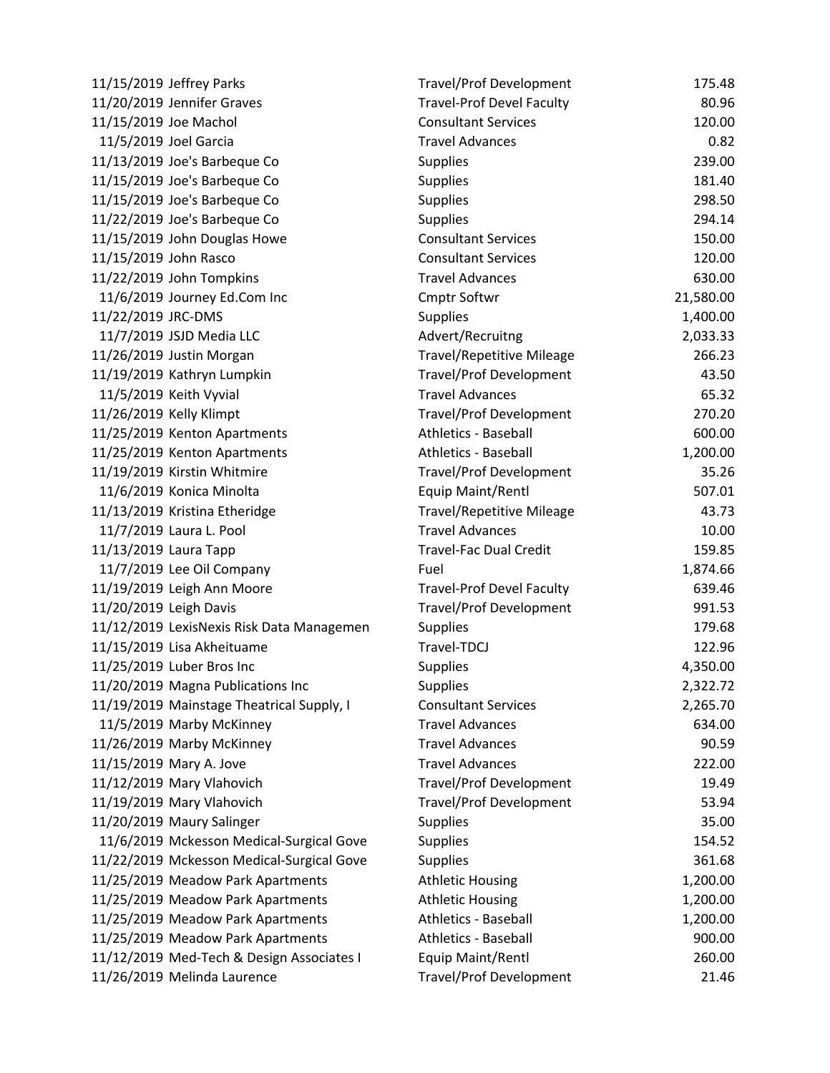|                        | 11/15/2019 Jeffrey Parks                  | <b>Travel/Prof Development</b>   | 175.48    |
|------------------------|-------------------------------------------|----------------------------------|-----------|
|                        | 11/20/2019 Jennifer Graves                | <b>Travel-Prof Devel Faculty</b> | 80.96     |
| 11/15/2019 Joe Machol  |                                           | <b>Consultant Services</b>       | 120.00    |
|                        | 11/5/2019 Joel Garcia                     | <b>Travel Advances</b>           | 0.82      |
|                        | 11/13/2019 Joe's Barbeque Co              | <b>Supplies</b>                  | 239.00    |
|                        | 11/15/2019 Joe's Barbeque Co              | Supplies                         | 181.40    |
|                        | 11/15/2019 Joe's Barbeque Co              | Supplies                         | 298.50    |
|                        | 11/22/2019 Joe's Barbeque Co              | <b>Supplies</b>                  | 294.14    |
|                        | 11/15/2019 John Douglas Howe              | <b>Consultant Services</b>       | 150.00    |
| 11/15/2019 John Rasco  |                                           | <b>Consultant Services</b>       | 120.00    |
|                        | 11/22/2019 John Tompkins                  | <b>Travel Advances</b>           | 630.00    |
|                        | 11/6/2019 Journey Ed.Com Inc              | <b>Cmptr Softwr</b>              | 21,580.00 |
| 11/22/2019 JRC-DMS     |                                           | <b>Supplies</b>                  | 1,400.00  |
|                        | 11/7/2019 JSJD Media LLC                  | Advert/Recruitng                 | 2,033.33  |
|                        | 11/26/2019 Justin Morgan                  | <b>Travel/Repetitive Mileage</b> | 266.23    |
|                        | 11/19/2019 Kathryn Lumpkin                | <b>Travel/Prof Development</b>   | 43.50     |
|                        | 11/5/2019 Keith Vyvial                    | <b>Travel Advances</b>           | 65.32     |
|                        | 11/26/2019 Kelly Klimpt                   | <b>Travel/Prof Development</b>   | 270.20    |
|                        | 11/25/2019 Kenton Apartments              | <b>Athletics - Baseball</b>      | 600.00    |
|                        | 11/25/2019 Kenton Apartments              | Athletics - Baseball             | 1,200.00  |
|                        | 11/19/2019 Kirstin Whitmire               | <b>Travel/Prof Development</b>   | 35.26     |
|                        | 11/6/2019 Konica Minolta                  | Equip Maint/Rentl                | 507.01    |
|                        | 11/13/2019 Kristina Etheridge             | <b>Travel/Repetitive Mileage</b> | 43.73     |
|                        | 11/7/2019 Laura L. Pool                   | <b>Travel Advances</b>           | 10.00     |
| 11/13/2019 Laura Tapp  |                                           | <b>Travel-Fac Dual Credit</b>    | 159.85    |
|                        | 11/7/2019 Lee Oil Company                 | Fuel                             | 1,874.66  |
|                        | 11/19/2019 Leigh Ann Moore                | <b>Travel-Prof Devel Faculty</b> | 639.46    |
| 11/20/2019 Leigh Davis |                                           | <b>Travel/Prof Development</b>   | 991.53    |
|                        | 11/12/2019 LexisNexis Risk Data Managemen | <b>Supplies</b>                  | 179.68    |
|                        | 11/15/2019 Lisa Akheituame                | Travel-TDCJ                      | 122.96    |
|                        | 11/25/2019 Luber Bros Inc                 | <b>Supplies</b>                  | 4,350.00  |
|                        | 11/20/2019 Magna Publications Inc         | <b>Supplies</b>                  | 2,322.72  |
|                        | 11/19/2019 Mainstage Theatrical Supply, I | <b>Consultant Services</b>       | 2,265.70  |
|                        | 11/5/2019 Marby McKinney                  | <b>Travel Advances</b>           | 634.00    |
|                        | 11/26/2019 Marby McKinney                 | <b>Travel Advances</b>           | 90.59     |
|                        | 11/15/2019 Mary A. Jove                   | <b>Travel Advances</b>           | 222.00    |
|                        | 11/12/2019 Mary Vlahovich                 | <b>Travel/Prof Development</b>   | 19.49     |
|                        | 11/19/2019 Mary Vlahovich                 | <b>Travel/Prof Development</b>   | 53.94     |
|                        | 11/20/2019 Maury Salinger                 | <b>Supplies</b>                  | 35.00     |
|                        | 11/6/2019 Mckesson Medical-Surgical Gove  | <b>Supplies</b>                  | 154.52    |
|                        | 11/22/2019 Mckesson Medical-Surgical Gove | <b>Supplies</b>                  | 361.68    |
|                        | 11/25/2019 Meadow Park Apartments         | <b>Athletic Housing</b>          | 1,200.00  |
|                        | 11/25/2019 Meadow Park Apartments         | <b>Athletic Housing</b>          | 1,200.00  |
|                        | 11/25/2019 Meadow Park Apartments         | <b>Athletics - Baseball</b>      | 1,200.00  |
|                        | 11/25/2019 Meadow Park Apartments         | <b>Athletics - Baseball</b>      | 900.00    |
|                        | 11/12/2019 Med-Tech & Design Associates I | Equip Maint/Rentl                | 260.00    |
|                        | 11/26/2019 Melinda Laurence               | <b>Travel/Prof Development</b>   | 21.46     |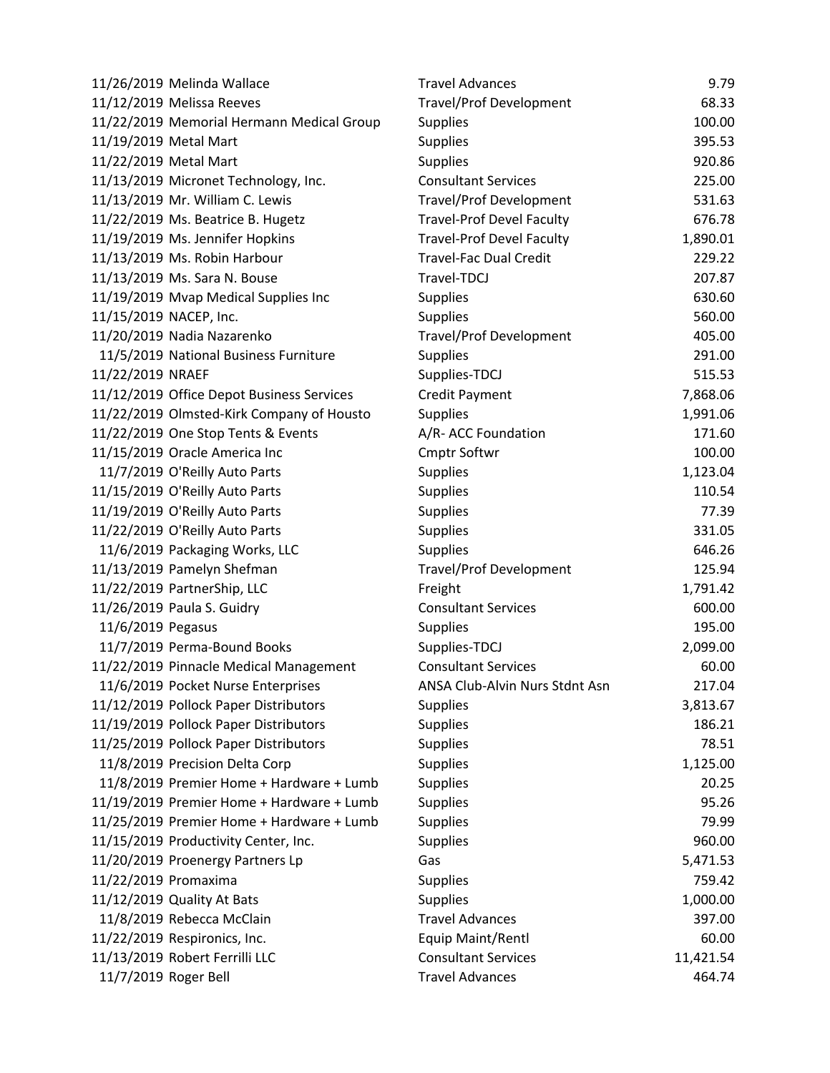|                   | 11/26/2019 Melinda Wallace                | <b>Travel Advances</b>           | 9.79      |
|-------------------|-------------------------------------------|----------------------------------|-----------|
|                   | 11/12/2019 Melissa Reeves                 | <b>Travel/Prof Development</b>   | 68.33     |
|                   | 11/22/2019 Memorial Hermann Medical Group | <b>Supplies</b>                  | 100.00    |
|                   | 11/19/2019 Metal Mart                     | <b>Supplies</b>                  | 395.53    |
|                   | 11/22/2019 Metal Mart                     | <b>Supplies</b>                  | 920.86    |
|                   | 11/13/2019 Micronet Technology, Inc.      | <b>Consultant Services</b>       | 225.00    |
|                   | 11/13/2019 Mr. William C. Lewis           | <b>Travel/Prof Development</b>   | 531.63    |
|                   | 11/22/2019 Ms. Beatrice B. Hugetz         | <b>Travel-Prof Devel Faculty</b> | 676.78    |
|                   | 11/19/2019 Ms. Jennifer Hopkins           | <b>Travel-Prof Devel Faculty</b> | 1,890.01  |
|                   | 11/13/2019 Ms. Robin Harbour              | <b>Travel-Fac Dual Credit</b>    | 229.22    |
|                   | 11/13/2019 Ms. Sara N. Bouse              | Travel-TDCJ                      | 207.87    |
|                   | 11/19/2019 Mvap Medical Supplies Inc      | <b>Supplies</b>                  | 630.60    |
|                   | 11/15/2019 NACEP, Inc.                    | <b>Supplies</b>                  | 560.00    |
|                   | 11/20/2019 Nadia Nazarenko                | <b>Travel/Prof Development</b>   | 405.00    |
|                   | 11/5/2019 National Business Furniture     | <b>Supplies</b>                  | 291.00    |
| 11/22/2019 NRAEF  |                                           | Supplies-TDCJ                    | 515.53    |
|                   | 11/12/2019 Office Depot Business Services | <b>Credit Payment</b>            | 7,868.06  |
|                   | 11/22/2019 Olmsted-Kirk Company of Housto | <b>Supplies</b>                  | 1,991.06  |
|                   | 11/22/2019 One Stop Tents & Events        | A/R- ACC Foundation              | 171.60    |
|                   | 11/15/2019 Oracle America Inc             | <b>Cmptr Softwr</b>              | 100.00    |
|                   | 11/7/2019 O'Reilly Auto Parts             | <b>Supplies</b>                  | 1,123.04  |
|                   | 11/15/2019 O'Reilly Auto Parts            | <b>Supplies</b>                  | 110.54    |
|                   | 11/19/2019 O'Reilly Auto Parts            | <b>Supplies</b>                  | 77.39     |
|                   | 11/22/2019 O'Reilly Auto Parts            | <b>Supplies</b>                  | 331.05    |
|                   | 11/6/2019 Packaging Works, LLC            | <b>Supplies</b>                  | 646.26    |
|                   | 11/13/2019 Pamelyn Shefman                | <b>Travel/Prof Development</b>   | 125.94    |
|                   | 11/22/2019 PartnerShip, LLC               | Freight                          | 1,791.42  |
|                   | 11/26/2019 Paula S. Guidry                | <b>Consultant Services</b>       | 600.00    |
| 11/6/2019 Pegasus |                                           | <b>Supplies</b>                  | 195.00    |
|                   | 11/7/2019 Perma-Bound Books               | Supplies-TDCJ                    | 2,099.00  |
|                   | 11/22/2019 Pinnacle Medical Management    | <b>Consultant Services</b>       | 60.00     |
|                   | 11/6/2019 Pocket Nurse Enterprises        | ANSA Club-Alvin Nurs Stdnt Asn   | 217.04    |
|                   | 11/12/2019 Pollock Paper Distributors     | <b>Supplies</b>                  | 3,813.67  |
|                   | 11/19/2019 Pollock Paper Distributors     | <b>Supplies</b>                  | 186.21    |
|                   | 11/25/2019 Pollock Paper Distributors     | <b>Supplies</b>                  | 78.51     |
|                   | 11/8/2019 Precision Delta Corp            | <b>Supplies</b>                  | 1,125.00  |
|                   | 11/8/2019 Premier Home + Hardware + Lumb  | <b>Supplies</b>                  | 20.25     |
|                   | 11/19/2019 Premier Home + Hardware + Lumb | <b>Supplies</b>                  | 95.26     |
|                   | 11/25/2019 Premier Home + Hardware + Lumb | <b>Supplies</b>                  | 79.99     |
|                   | 11/15/2019 Productivity Center, Inc.      | <b>Supplies</b>                  | 960.00    |
|                   | 11/20/2019 Proenergy Partners Lp          | Gas                              | 5,471.53  |
|                   | 11/22/2019 Promaxima                      | <b>Supplies</b>                  | 759.42    |
|                   | 11/12/2019 Quality At Bats                | <b>Supplies</b>                  | 1,000.00  |
|                   | 11/8/2019 Rebecca McClain                 | <b>Travel Advances</b>           | 397.00    |
|                   | 11/22/2019 Respironics, Inc.              | Equip Maint/Rentl                | 60.00     |
|                   | 11/13/2019 Robert Ferrilli LLC            | <b>Consultant Services</b>       | 11,421.54 |
|                   | 11/7/2019 Roger Bell                      | <b>Travel Advances</b>           | 464.74    |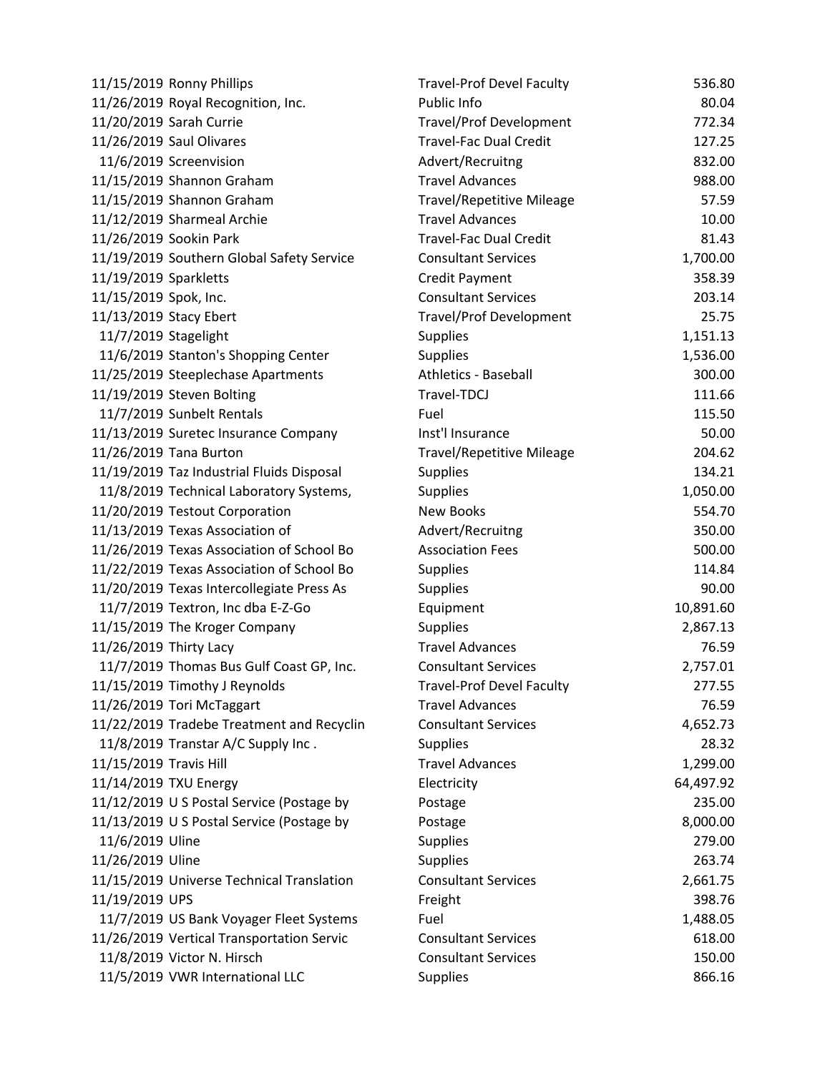|                        | 11/15/2019 Ronny Phillips                 | <b>Travel-Prof Devel Faculty</b> | 536.80    |
|------------------------|-------------------------------------------|----------------------------------|-----------|
|                        | 11/26/2019 Royal Recognition, Inc.        | Public Info                      | 80.04     |
|                        | 11/20/2019 Sarah Currie                   | <b>Travel/Prof Development</b>   | 772.34    |
|                        | 11/26/2019 Saul Olivares                  | <b>Travel-Fac Dual Credit</b>    | 127.25    |
|                        | 11/6/2019 Screenvision                    | Advert/Recruitng                 | 832.00    |
|                        | 11/15/2019 Shannon Graham                 | <b>Travel Advances</b>           | 988.00    |
|                        | 11/15/2019 Shannon Graham                 | <b>Travel/Repetitive Mileage</b> | 57.59     |
|                        | 11/12/2019 Sharmeal Archie                | <b>Travel Advances</b>           | 10.00     |
|                        | 11/26/2019 Sookin Park                    | <b>Travel-Fac Dual Credit</b>    | 81.43     |
|                        | 11/19/2019 Southern Global Safety Service | <b>Consultant Services</b>       | 1,700.00  |
| 11/19/2019 Sparkletts  |                                           | <b>Credit Payment</b>            | 358.39    |
| 11/15/2019 Spok, Inc.  |                                           | <b>Consultant Services</b>       | 203.14    |
|                        | 11/13/2019 Stacy Ebert                    | <b>Travel/Prof Development</b>   | 25.75     |
|                        | 11/7/2019 Stagelight                      | <b>Supplies</b>                  | 1,151.13  |
|                        | 11/6/2019 Stanton's Shopping Center       | <b>Supplies</b>                  | 1,536.00  |
|                        | 11/25/2019 Steeplechase Apartments        | <b>Athletics - Baseball</b>      | 300.00    |
|                        | 11/19/2019 Steven Bolting                 | Travel-TDCJ                      | 111.66    |
|                        | 11/7/2019 Sunbelt Rentals                 | Fuel                             | 115.50    |
|                        | 11/13/2019 Suretec Insurance Company      | Inst'l Insurance                 | 50.00     |
|                        | 11/26/2019 Tana Burton                    | <b>Travel/Repetitive Mileage</b> | 204.62    |
|                        | 11/19/2019 Taz Industrial Fluids Disposal | <b>Supplies</b>                  | 134.21    |
|                        | 11/8/2019 Technical Laboratory Systems,   | <b>Supplies</b>                  | 1,050.00  |
|                        | 11/20/2019 Testout Corporation            | New Books                        | 554.70    |
|                        | 11/13/2019 Texas Association of           | Advert/Recruitng                 | 350.00    |
|                        | 11/26/2019 Texas Association of School Bo | <b>Association Fees</b>          | 500.00    |
|                        | 11/22/2019 Texas Association of School Bo | <b>Supplies</b>                  | 114.84    |
|                        | 11/20/2019 Texas Intercollegiate Press As | Supplies                         | 90.00     |
|                        | 11/7/2019 Textron, Inc dba E-Z-Go         | Equipment                        | 10,891.60 |
|                        | 11/15/2019 The Kroger Company             | <b>Supplies</b>                  | 2,867.13  |
| 11/26/2019 Thirty Lacy |                                           | <b>Travel Advances</b>           | 76.59     |
|                        | 11/7/2019 Thomas Bus Gulf Coast GP, Inc.  | <b>Consultant Services</b>       | 2,757.01  |
|                        | 11/15/2019 Timothy J Reynolds             | Travel-Prof Devel Faculty        | 277.55    |
|                        | 11/26/2019 Tori McTaggart                 | <b>Travel Advances</b>           | 76.59     |
|                        | 11/22/2019 Tradebe Treatment and Recyclin | <b>Consultant Services</b>       | 4,652.73  |
|                        | 11/8/2019 Transtar A/C Supply Inc.        | <b>Supplies</b>                  | 28.32     |
| 11/15/2019 Travis Hill |                                           | <b>Travel Advances</b>           | 1,299.00  |
|                        | 11/14/2019 TXU Energy                     | Electricity                      | 64,497.92 |
|                        | 11/12/2019 U S Postal Service (Postage by | Postage                          | 235.00    |
|                        | 11/13/2019 U S Postal Service (Postage by | Postage                          | 8,000.00  |
| 11/6/2019 Uline        |                                           | <b>Supplies</b>                  | 279.00    |
| 11/26/2019 Uline       |                                           | <b>Supplies</b>                  | 263.74    |
|                        | 11/15/2019 Universe Technical Translation | <b>Consultant Services</b>       | 2,661.75  |
| 11/19/2019 UPS         |                                           | Freight                          | 398.76    |
|                        | 11/7/2019 US Bank Voyager Fleet Systems   | Fuel                             | 1,488.05  |
|                        | 11/26/2019 Vertical Transportation Servic | <b>Consultant Services</b>       | 618.00    |
|                        | 11/8/2019 Victor N. Hirsch                | <b>Consultant Services</b>       | 150.00    |
|                        | 11/5/2019 VWR International LLC           | <b>Supplies</b>                  | 866.16    |